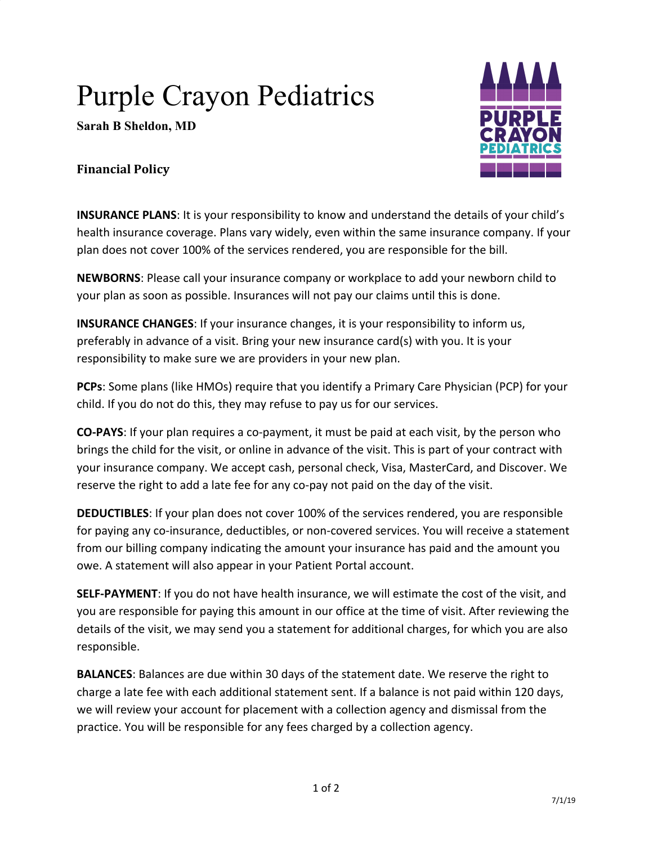## Purple Crayon Pediatrics

**Sarah B Sheldon, MD**



## **Financial Policy**

**INSURANCE PLANS**: It is your responsibility to know and understand the details of your child's health insurance coverage. Plans vary widely, even within the same insurance company. If your plan does not cover 100% of the services rendered, you are responsible for the bill.

**NEWBORNS**: Please call your insurance company or workplace to add your newborn child to your plan as soon as possible. Insurances will not pay our claims until this is done.

**INSURANCE CHANGES**: If your insurance changes, it is your responsibility to inform us, preferably in advance of a visit. Bring your new insurance card(s) with you. It is your responsibility to make sure we are providers in your new plan.

**PCPs**: Some plans (like HMOs) require that you identify a Primary Care Physician (PCP) for your child. If you do not do this, they may refuse to pay us for our services.

**CO-PAYS**: If your plan requires a co-payment, it must be paid at each visit, by the person who brings the child for the visit, or online in advance of the visit. This is part of your contract with your insurance company. We accept cash, personal check, Visa, MasterCard, and Discover. We reserve the right to add a late fee for any co-pay not paid on the day of the visit.

**DEDUCTIBLES**: If your plan does not cover 100% of the services rendered, you are responsible for paying any co-insurance, deductibles, or non-covered services. You will receive a statement from our billing company indicating the amount your insurance has paid and the amount you owe. A statement will also appear in your Patient Portal account.

**SELF-PAYMENT**: If you do not have health insurance, we will estimate the cost of the visit, and you are responsible for paying this amount in our office at the time of visit. After reviewing the details of the visit, we may send you a statement for additional charges, for which you are also responsible.

**BALANCES**: Balances are due within 30 days of the statement date. We reserve the right to charge a late fee with each additional statement sent. If a balance is not paid within 120 days, we will review your account for placement with a collection agency and dismissal from the practice. You will be responsible for any fees charged by a collection agency.